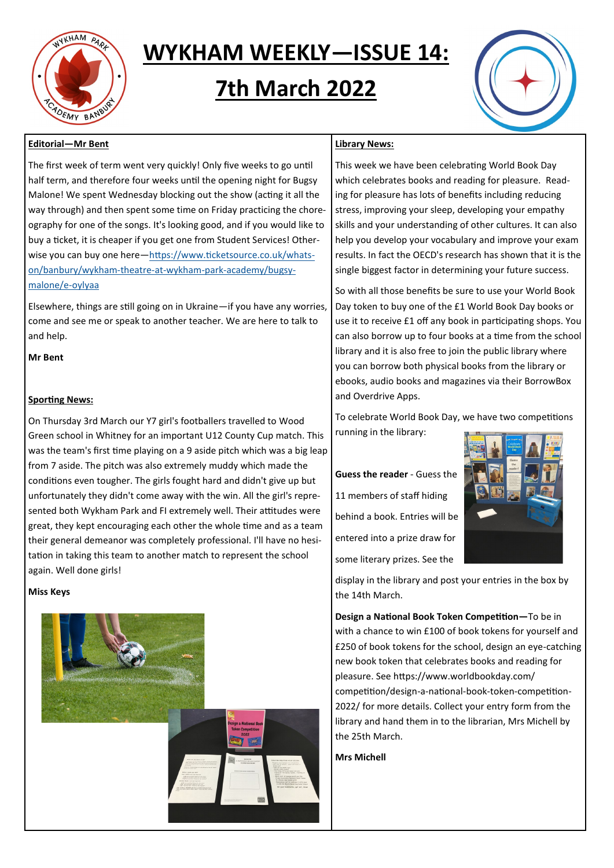

# **WYKHAM WEEKLY—ISSUE 14:**

# **7th March 2022**

# **Editorial—Mr Bent**

The first week of term went very quickly! Only five weeks to go until half term, and therefore four weeks until the opening night for Bugsy Malone! We spent Wednesday blocking out the show (acting it all the way through) and then spent some time on Friday practicing the choreography for one of the songs. It's looking good, and if you would like to buy a ticket, it is cheaper if you get one from Student Services! Otherwise you can buy one here—[https://www.ticketsource.co.uk/whats](https://www.ticketsource.co.uk/whats-on/banbury/wykham-theatre-at-wykham-park-academy/bugsy-malone/e-oylyaa)[on/banbury/wykham](https://www.ticketsource.co.uk/whats-on/banbury/wykham-theatre-at-wykham-park-academy/bugsy-malone/e-oylyaa)-theatre-at-wykham-park-academy/bugsy[malone/e](https://www.ticketsource.co.uk/whats-on/banbury/wykham-theatre-at-wykham-park-academy/bugsy-malone/e-oylyaa)-oylyaa

Elsewhere, things are still going on in Ukraine—if you have any worries, come and see me or speak to another teacher. We are here to talk to and help.

**Mr Bent**

# **Sporting News:**

On Thursday 3rd March our Y7 girl's footballers travelled to Wood Green school in Whitney for an important U12 County Cup match. This was the team's first time playing on a 9 aside pitch which was a big leap from 7 aside. The pitch was also extremely muddy which made the conditions even tougher. The girls fought hard and didn't give up but unfortunately they didn't come away with the win. All the girl's represented both Wykham Park and FI extremely well. Their attitudes were great, they kept encouraging each other the whole time and as a team their general demeanor was completely professional. I'll have no hesitation in taking this team to another match to represent the school again. Well done girls!

# **Miss Keys**



# **Library News:**

This week we have been celebrating World Book Day which celebrates books and reading for pleasure. Reading for pleasure has lots of benefits including reducing stress, improving your sleep, developing your empathy skills and your understanding of other cultures. It can also help you develop your vocabulary and improve your exam results. In fact the OECD's research has shown that it is the single biggest factor in determining your future success.

So with all those benefits be sure to use your World Book Day token to buy one of the £1 World Book Day books or use it to receive £1 off any book in participating shops. You can also borrow up to four books at a time from the school library and it is also free to join the public library where you can borrow both physical books from the library or ebooks, audio books and magazines via their BorrowBox and Overdrive Apps.

To celebrate World Book Day, we have two competitions running in the library:

**Guess the reader** - Guess the 11 members of staff hiding behind a book. Entries will be entered into a prize draw for some literary prizes. See the



display in the library and post your entries in the box by the 14th March.

**Design a National Book Token Competition—**To be in with a chance to win £100 of book tokens for yourself and £250 of book tokens for the school, design an eye-catching new book token that celebrates books and reading for pleasure. See https://www.worldbookday.com/ competition/design-a-national-book-token-competition-2022/ for more details. Collect your entry form from the library and hand them in to the librarian, Mrs Michell by the 25th March.

**Mrs Michell**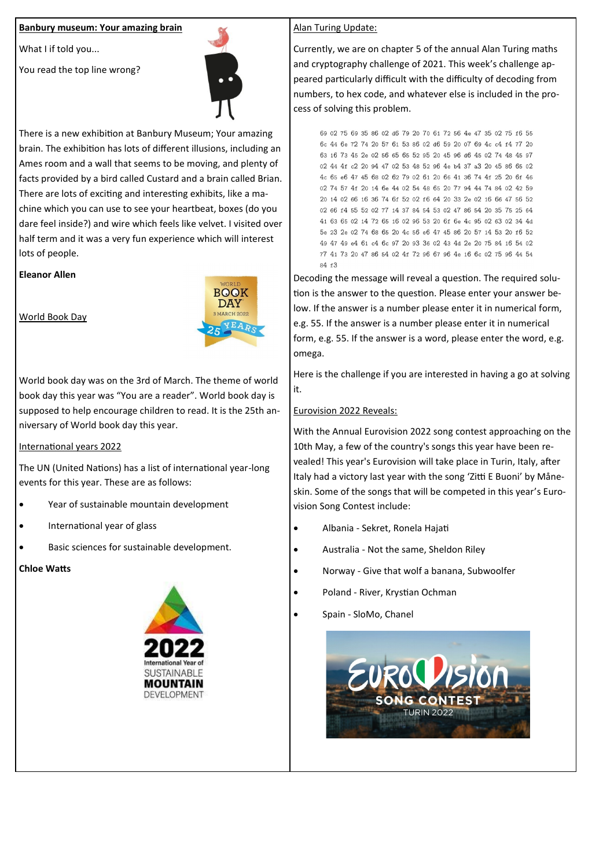# **Banbury museum: Your amazing brain**

What I if told you...

You read the top line wrong?



There is a new exhibition at Banbury Museum; Your amazing brain. The exhibition has lots of different illusions, including an Ames room and a wall that seems to be moving, and plenty of facts provided by a bird called Custard and a brain called Brian. There are lots of exciting and interesting exhibits, like a machine which you can use to see your heartbeat, boxes (do you dare feel inside?) and wire which feels like velvet. I visited over half term and it was a very fun experience which will interest lots of people.

#### **Eleanor Allen**

World Book Day



World book day was on the 3rd of March. The theme of world book day this year was "You are a reader". World book day is supposed to help encourage children to read. It is the 25th anniversary of World book day this year.

# International years 2022

The UN (United Nations) has a list of international year-long events for this year. These are as follows:

- Year of sustainable mountain development
- International year of glass
- Basic sciences for sustainable development.

#### **Chloe Watts**



#### Alan Turing Update:

Currently, we are on chapter 5 of the annual Alan Turing maths and cryptography challenge of 2021. This week's challenge appeared particularly difficult with the difficulty of decoding from numbers, to hex code, and whatever else is included in the process of solving this problem.

69 02 75 69 35 86 02 d6 79 20 70 61 72 56 4e 47 35 02 75 f6 55 6c 44 6e 72 74 20 57 61 53 86 02 d6 59 20 07 69 4c c4 f4 77 20 63 16 73 45 2e 02 56 65 65 52 95 20 45 96 d6 45 02 74 48 45 97 02 44 4f c2 20 94 47 02 53 48 52 96 4e b4 37 a3 20 45 86 65 02 4c 65 e6 47 45 68 02 62 79 02 61 20 66 41 36 74 4f 25 20 6f 46 02 74 57 4f 20 14 6e 44 02 54 48 65 20 77 94 44 74 84 02 42 59 20 14 02 66 16 36 74 6f 52 02 f6 64 20 33 2e 02 16 66 47 56 52 02 66 f4 55 52 02 77 14 37 84 54 53 02 47 86 54 20 35 75 25 64 41 63 65 02 14 72 65 16 02 96 53 20 6f 6e 4c 95 02 63 02 34 4d 5e 23 2e 02 74 68 65 20 4c 56 e6 47 45 86 20 57 14 53 20 f6 52 49 47 49 e4 61 c4 6c 97 20 93 36 02 43 4d 2e 20 75 84 16 54 02 77 41 73 20 47 86 54 02 4f 72 96 67 96 4e 16 6c 02 75 96 44 54 84 f3

Decoding the message will reveal a question. The required solution is the answer to the question. Please enter your answer below. If the answer is a number please enter it in numerical form, e.g. 55. If the answer is a number please enter it in numerical form, e.g. 55. If the answer is a word, please enter the word, e.g. omega.

Here is the challenge if you are interested in having a go at solving it.

#### Eurovision 2022 Reveals:

With the Annual Eurovision 2022 song contest approaching on the 10th May, a few of the country's songs this year have been revealed! This year's Eurovision will take place in Turin, Italy, after Italy had a victory last year with the song 'Zitti E Buoni' by Måneskin. Some of the songs that will be competed in this year's Eurovision Song Contest include:

- Albania Sekret, Ronela Hajati
- Australia Not the same, Sheldon Riley
- Norway Give that wolf a banana, Subwoolfer
- Poland River, Krystian Ochman
- Spain SloMo, Chanel